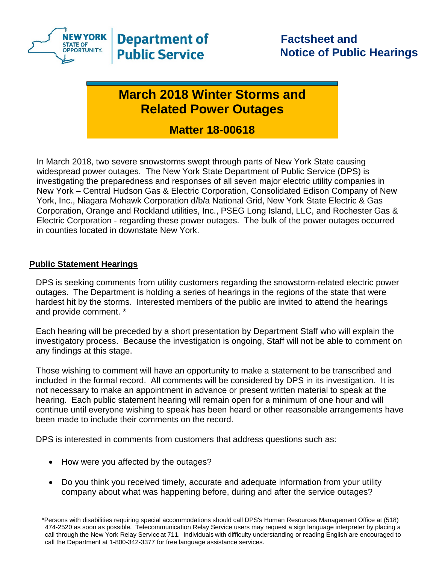

## **March 2018 Winter Storms and Related Power Outages**

## **Matter 18-00618**

In March 2018, two severe snowstorms swept through parts of New York State causing widespread power outages. The New York State Department of Public Service (DPS) is investigating the preparedness and responses of all seven major electric utility companies in New York – Central Hudson Gas & Electric Corporation, Consolidated Edison Company of New York, Inc., Niagara Mohawk Corporation d/b/a National Grid, New York State Electric & Gas Corporation, Orange and Rockland utilities, Inc., PSEG Long Island, LLC, and Rochester Gas & Electric Corporation - regarding these power outages. The bulk of the power outages occurred in counties located in downstate New York.

## **Public Statement Hearings**

DPS is seeking comments from utility customers regarding the snowstorm-related electric power outages. The Department is holding a series of hearings in the regions of the state that were hardest hit by the storms. Interested members of the public are invited to attend the hearings and provide comment. \*

Each hearing will be preceded by a short presentation by Department Staff who will explain the investigatory process. Because the investigation is ongoing, Staff will not be able to comment on any findings at this stage.

Those wishing to comment will have an opportunity to make a statement to be transcribed and included in the formal record. All comments will be considered by DPS in its investigation. It is not necessary to make an appointment in advance or present written material to speak at the hearing. Each public statement hearing will remain open for a minimum of one hour and will continue until everyone wishing to speak has been heard or other reasonable arrangements have been made to include their comments on the record.

DPS is interested in comments from customers that address questions such as:

- How were you affected by the outages?
- Do you think you received timely, accurate and adequate information from your utility company about what was happening before, during and after the service outages?

<sup>\*</sup>Persons with disabilities requiring special accommodations should call DPS's Human Resources Management Office at (518) 474-2520 as soon as possible. Telecommunication Relay Service users may request a sign language interpreter by placing a call through the New York Relay Serviceat 711. Individuals with difficulty understanding or reading English are encouraged to call the Department at 1-800-342-3377 for free language assistance services.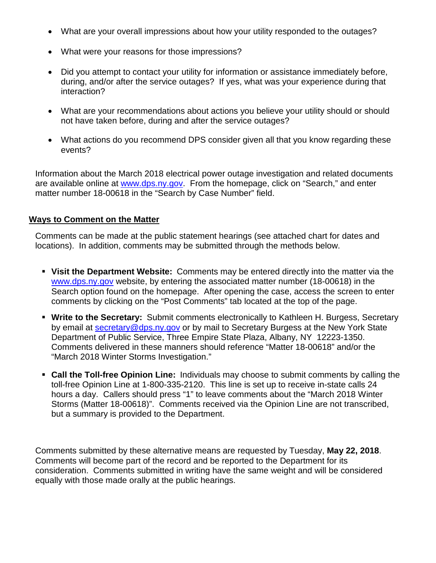- What are your overall impressions about how your utility responded to the outages?
- What were your reasons for those impressions?
- Did you attempt to contact your utility for information or assistance immediately before, during, and/or after the service outages? If yes, what was your experience during that interaction?
- What are your recommendations about actions you believe your utility should or should not have taken before, during and after the service outages?
- What actions do you recommend DPS consider given all that you know regarding these events?

Information about the March 2018 electrical power outage investigation and related documents are available online at [www.dps.ny.gov.](http://www.dps.ny.gov/) From the homepage, click on "Search," and enter matter number 18-00618 in the "Search by Case Number" field.

## **Ways to Comment on the Matter**

Comments can be made at the public statement hearings (see attached chart for dates and locations). In addition, comments may be submitted through the methods below.

- **Visit the Department Website:** Comments may be entered directly into the matter via the [www.dps.ny.gov](http://www.dps.ny.gov/) website, by entering the associated matter number (18-00618) in the Search option found on the homepage. After opening the case, access the screen to enter comments by clicking on the "Post Comments" tab located at the top of the page.
- **Write to the Secretary:** Submit comments electronically to Kathleen H. Burgess, Secretary by email at [secretary@dps.ny.gov](mailto:secretary@dps.ny.gov) or by mail to Secretary Burgess at the New York State Department of Public Service, Three Empire State Plaza, Albany, NY 12223-1350. Comments delivered in these manners should reference "Matter 18-00618" and/or the "March 2018 Winter Storms Investigation."
- **Call the Toll-free Opinion Line:** Individuals may choose to submit comments by calling the toll-free Opinion Line at 1-800-335-2120. This line is set up to receive in-state calls 24 hours a day. Callers should press "1" to leave comments about the "March 2018 Winter Storms (Matter 18-00618)". Comments received via the Opinion Line are not transcribed, but a summary is provided to the Department.

Comments submitted by these alternative means are requested by Tuesday, **May 22, 2018**. Comments will become part of the record and be reported to the Department for its consideration. Comments submitted in writing have the same weight and will be considered equally with those made orally at the public hearings.